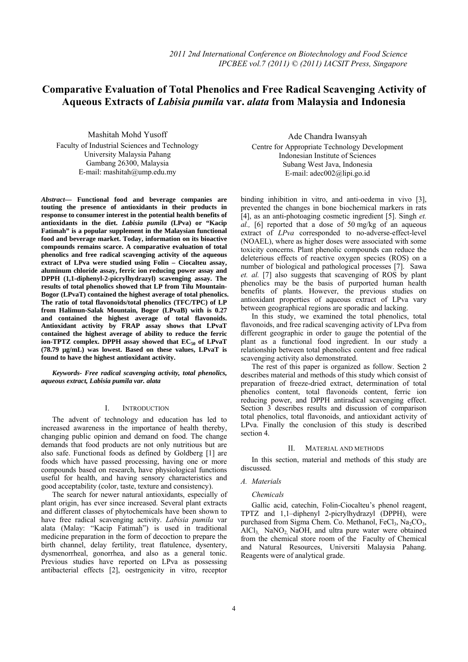# **Comparative Evaluation of Total Phenolics and Free Radical Scavenging Activity of**   **Aqueous Extracts of** *Labisia pumila* **var.** *alata* **from Malaysia and Indonesia**

Mashitah Mohd Yusoff Faculty of Industrial Sciences and Technology University Malaysia Pahang Gambang 26300, Malaysia E-mail: mashitah@ump.edu.my

*Abstract***— Functional food and beverage companies are touting the presence of antioxidants in their products in response to consumer interest in the potential health benefits of antioxidants in the diet.** *Labisia pumila* **(LPva) or "Kacip Fatimah" is a popular supplement in the Malaysian functional food and beverage market. Today, information on its bioactive compounds remains scarce. A comparative evaluation of total phenolics and free radical scavenging activity of the aqueous extract of LPva were studied using Folin – Ciocalteu assay, aluminum chloride assay, ferric ion reducing power assay and DPPH (1,1-diphenyl-2-picrylhydrazyl) scavenging assay. The results of total phenolics showed that LP from Tilu Mountain-Bogor (LPvaT) contained the highest average of total phenolics. The ratio of total flavonoids/total phenolics (TFC/TPC) of LP from Halimun-Salak Mountain, Bogor (LPvaB) with is 0.27 and contained the highest average of total flavonoids. Antioxidant activity by FRAP assay shows that LPvaT contained the highest average of ability to reduce the ferric**  ion-TPTZ complex. DPPH assay showed that EC<sub>50</sub> of LPvaT **(78.79 µg/mL) was lowest. Based on these values, LPvaT is found to have the highest antioxidant activity.**

*Keywords- Free radical scavenging activity, total phenolics, aqueous extract, Labisia pumila var. alata* 

## I. INTRODUCTION

The advent of technology and education has led to increased awareness in the importance of health thereby, changing public opinion and demand on food. The change demands that food products are not only nutritious but are also safe. Functional foods as defined by Goldberg [1] are foods which have passed processing, having one or more compounds based on research, have physiological functions useful for health, and having sensory characteristics and good acceptability (color, taste, texture and consistency).

The search for newer natural antioxidants, especially of plant origin, has ever since increased. Several plant extracts and different classes of phytochemicals have been shown to have free radical scavenging activity. *Labisia pumila* var alata (Malay: "Kacip Fatimah") is used in traditional medicine preparation in the form of decoction to prepare the birth channel, delay fertility, treat flatulence, dysentery, dysmenorrheal, gonorrhea, and also as a general tonic. Previous studies have reported on LPva as possessing antibacterial effects [2], oestrgenicity in vitro, receptor

Ade Chandra Iwansyah Centre for Appropriate Technology Development Indonesian Institute of Sciences Subang West Java, Indonesia E-mail: adec002@lipi.go.id

binding inhibition in vitro, and anti-oedema in vivo [3], prevented the changes in bone biochemical markers in rats [4], as an anti-photoaging cosmetic ingredient [5]. Singh *et. al.,* [6] reported that a dose of 50 mg/kg of an aqueous extract of *LPva* corresponded to no-adverse-effect-level (NOAEL), where as higher doses were associated with some toxicity concerns. Plant phenolic compounds can reduce the deleterious effects of reactive oxygen species (ROS) on a number of biological and pathological processes [7]. Sawa *et. al.* [7] also suggests that scavenging of ROS by plant phenolics may be the basis of purported human health benefits of plants. However, the previous studies on antioxidant properties of aqueous extract of LPva vary between geographical regions are sporadic and lacking.

In this study, we examined the total phenolics, total flavonoids, and free radical scavenging activity of LPva from different geographic in order to gauge the potential of the plant as a functional food ingredient. In our study a relationship between total phenolics content and free radical scavenging activity also demonstrated.

The rest of this paper is organized as follow. Section 2 describes material and methods of this study which consist of preparation of freeze-dried extract, determination of total phenolics content, total flavonoids content, ferric ion reducing power, and DPPH antiradical scavenging effect. Section  $\overline{3}$  describes results and discussion of comparison total phenolics, total flavonoids, and antioxidant activity of LPva. Finally the conclusion of this study is described section 4.

#### II. MATERIAL AND METHODS

In this section, material and methods of this study are discussed.

# *A. Materials*

#### *Chemicals*

Gallic acid, catechin, Folin-Ciocalteu's phenol reagent, TPTZ and 1,1–diphenyl 2-picrylhydrazyl (DPPH), were purchased from Sigma Chem. Co. Methanol, FeCl<sub>3</sub>, Na<sub>2</sub>CO<sub>3</sub>,  $AICI_3$  NaNO<sub>2</sub> NaOH, and ultra pure water were obtained from the chemical store room of the Faculty of Chemical and Natural Resources, Universiti Malaysia Pahang. Reagents were of analytical grade.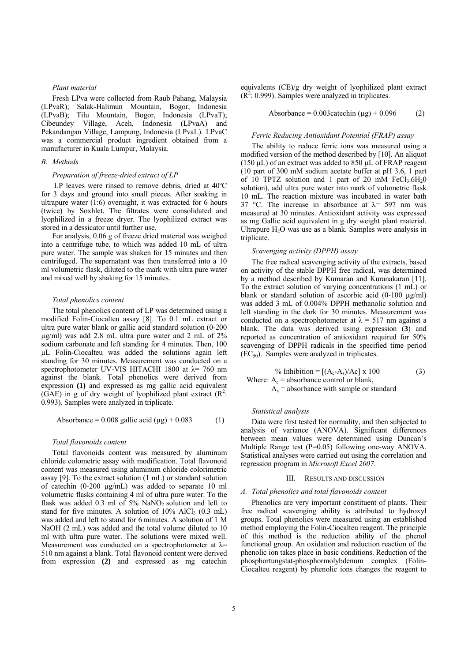# *Plant material*

Fresh LPva were collected from Raub Pahang, Malaysia (LPvaR); Salak-Halimun Mountain, Bogor, Indonesia (LPvaB); Tilu Mountain, Bogor, Indonesia (LPvaT); Cibeundey Village, Aceh, Indonesia (LPvaA) and Pekandangan Village, Lampung, Indonesia (LPvaL). LPvaC was a commercial product ingredient obtained from a manufacturer in Kuala Lumpur, Malaysia.

#### *B. Methods*

# *Preparation of freeze-dried extract of LP*

LP leaves were rinsed to remove debris, dried at  $40^{\circ}$ C for 3 days and ground into small pieces. After soaking in ultrapure water (1:6) overnight, it was extracted for 6 hours (twice) by Soxhlet. The filtrates were consolidated and lyophilized in a freeze dryer. The lyophilized extract was stored in a dessicator until further use.

For analysis, 0.06 g of freeze dried material was weighed into a centrifuge tube, to which was added 10 mL of ultra pure water. The sample was shaken for 15 minutes and then centrifuged. The supernatant was then transferred into a 10 ml volumetric flask, diluted to the mark with ultra pure water and mixed well by shaking for 15 minutes.

# *Total phenolics content*

The total phenolics content of LP was determined using a modified Folin-Ciocalteu assay [8]. To 0.1 mL extract or ultra pure water blank or gallic acid standard solution (0-200 µg/ml) was add 2.8 mL ultra pure water and 2 mL of 2% sodium carbonate and left standing for 4 minutes. Then, 100 µL Folin-Ciocalteu was added the solutions again left standing for 30 minutes. Measurement was conducted on a spectrophotometer UV-VIS HITACHI 1800 at  $\lambda$  = 760 nm against the blank. Total phenolics were derived from expression **(1)** and expressed as mg gallic acid equivalent (GAE) in g of dry weight of lyophilized plant extract  $(R^2)$ : 0.993). Samples were analyzed in triplicate.

$$
Absorbance = 0.008 \text{ gallic acid } (\mu g) + 0.083 \tag{1}
$$

### *Total flavonoids content*

Total flavonoids content was measured by aluminum chloride colometric assay with modification. Total flavonoid content was measured using aluminum chloride colorimetric assay [9]. To the extract solution (1 mL) or standard solution of catechin (0-200 µg/mL) was added to separate 10 ml volumetric flasks containing 4 ml of ultra pure water. To the flask was added 0.3 ml of  $5\%$  NaNO<sub>2</sub> solution and left to stand for five minutes. A solution of  $10\%$  AlCl<sub>3</sub> (0.3 mL) was added and left to stand for 6 minutes. A solution of 1 M NaOH (2 mL) was added and the total volume diluted to 10 ml with ultra pure water. The solutions were mixed well. Measurement was conducted on a spectrophotometer at  $\lambda$ = 510 nm against a blank. Total flavonoid content were derived from expression **(2)** and expressed as mg catechin equivalents (CE)/g dry weight of lyophilized plant extract  $(R<sup>2</sup>: 0.999)$ . Samples were analyzed in triplicates.

$$
Absorbance = 0.003 catechin (µg) + 0.096
$$
 (2)

# *Ferric Reducing Antioxidant Potential (FRAP) assay*

The ability to reduce ferric ions was measured using a modified version of the method described by [10]. An aliquot (150  $\mu$ L) of an extract was added to 850  $\mu$ L of FRAP reagent (10 part of 300 mM sodium acetate buffer at pH 3.6, 1 part of 10 TPTZ solution and 1 part of 20 mM  $FeCl<sub>3</sub>.6H<sub>2</sub>O$ solution), add ultra pure water into mark of volumetric flask 10 mL. The reaction mixture was incubated in water bath 37 °C. The increase in absorbance at  $\lambda$ = 597 nm was measured at 30 minutes. Antioxidant activity was expressed as mg Gallic acid equivalent in g dry weight plant material. Ultrapure  $H<sub>2</sub>O$  was use as a blank. Samples were analysis in triplicate.

### *Scavenging activity (DPPH) assay*

The free radical scavenging activity of the extracts, based on activity of the stable DPPH free radical, was determined by a method described by Kumaran and Kuranakaran [11]. To the extract solution of varying concentrations (1 mL) or blank or standard solution of ascorbic acid (0-100 µg/ml) was added 3 mL of 0.004% DPPH methanolic solution and left standing in the dark for 30 minutes. Measurement was conducted on a spectrophotometer at  $\lambda = 517$  nm against a blank. The data was derived using expression (**3**) and reported as concentration of antioxidant required for 50% scavenging of DPPH radicals in the specified time period  $(EC_{50})$ . Samples were analyzed in triplicates.

 % Inhibition = [(Ac-As)/Ac] x 100 (3) Where: Ac = absorbance control or blank,

 $A_s$  = absorbance with sample or standard

### *Statistical analysis*

Data were first tested for normality, and then subjected to analysis of variance (ANOVA). Significant differences between mean values were determined using Duncan's Multiple Range test (P=0.05) following one-way ANOVA. Statistical analyses were carried out using the correlation and regression program in *Microsoft Excel 2007*.

## III. RESULTS AND DISCUSSION

#### *A. Total phenolics and total flavonoids content*

Phenolics are very important constituent of plants. Their free radical scavenging ability is attributed to hydroxyl groups. Total phenolics were measured using an established method employing the Folin-Ciocalteu reagent. The principle of this method is the reduction ability of the phenol functional group. An oxidation and reduction reaction of the phenolic ion takes place in basic conditions. Reduction of the phosphortungstat-phosphormolybdenum complex (Folin-Ciocalteu reagent) by phenolic ions changes the reagent to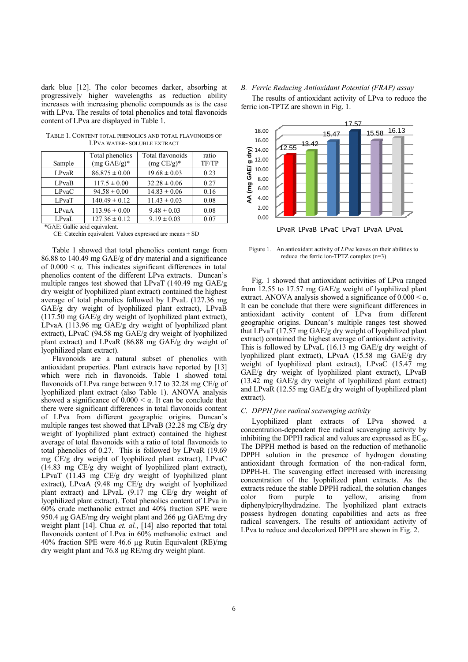dark blue [12]. The color becomes darker, absorbing at progressively higher wavelengths as reduction ability increases with increasing phenolic compounds as is the case with LPva. The results of total phenolics and total flavonoids content of LPva are displayed in Table 1. ontent of LPva are displayed in Table 1.<br>Table 1. Content total phenolics and total flavonoids of

| Sample       | Total phenolics<br>$(mg \text{ } GAE/g)^*$ | Total flavonoids<br>$(mg CE/g)^*$ | ratio<br>TF/TP |
|--------------|--------------------------------------------|-----------------------------------|----------------|
| LPvaR        | $86.875 \pm 0.00$                          | $19.68 \pm 0.03$                  | 0.23           |
| LPvaB        | $117.5 \pm 0.00$                           | $32.28 \pm 0.06$                  | 0.27           |
| <b>LPvaC</b> | $94.58 \pm 0.00$                           | $14.83 \pm 0.06$                  | 0.16           |
| LPvaT        | $140.49 \pm 0.12$                          | $11.43 \pm 0.03$                  | 0.08           |
| LPvaA        | $113.96 \pm 0.00$                          | $9.48 \pm 0.03$                   | 0.08           |
| LPvaL        | $127.36 \pm 0.12$                          | $9.19 \pm 0.03$                   | 0.07           |

LPVA WATER- SOLUBLE EXTRACT

\*GAE: Gallic a acid equivalent.

 $CE$ : Catechin equivalent. Values expressed are means  $\pm$  SD

Table 1 showed that total phenolics content range from 86.88 to 140.49 mg GAE/g of dry material and a significance of  $0.000 < \alpha$ . This indicates significant differences in total phenolics content of the different LPva extracts. Duncan's multiple ranges test showed that LPvaT (140.49 mg GAE/g dry weight of lyophilized plant extract) contained the highest average of total phenolics followed by LPvaL (127.36 mg GAE/g dry weight of lyophilized plant extract), LPvaB (117.50 mg GAE/g dry weight of lyophilized plant extract), LPvaA (113.96 mg GAE/g dry weight of lyophilized plant extract), LPvaC (94.58 mg GAE/g dry weight of lyophilized plant extract) and LPvaR (86.88 mg GAE/g dry weight of lyophilized plant extract).

Flavonoids are a natural subset of phenolics with antioxidant properties. Plant extracts have reported by [13] which were rich in flavonoids. Table 1 showed total flavonoids of LPva range between 9.17 to 32.28 mg CE/g of lyophilized p lant extract ( (also Table 1) ). ANOVA a analysis showed a significance of  $0.000 \le \alpha$ . It can be conclude that there were significant differences in total flavonoids content of LPva from different geographic origins. Duncan's multiple ranges test showed that LPvaB (32.28 mg CE/g dry weight of lyophilized plant extract) contained the highest average of total flavonoids with a ratio of total flavonoids to total phenolics of 0.27. This is followed by LPvaR (19.69 mg CE/g dry y weight of l yophilized pl lant extract), LPvaC (14.83 mg CE/g dry weight of lyophilized plant extract), LPvaT  $(11.43 \text{ mg } CE/g \text{ dry weight of lyophilized plant})$ extract), LPvaA (9.48 mg CE/g dry weight of lyophilized plant extract) and LPvaL (9.17 mg CE/g dry weight of lyophilized plant extract). Total phenolics content of LPva in 60% crude methanolic extract and 40% fraction SPE were 950.4 µg GAE/mg dry weight plant and 266 µg GAE/mg dry weight plant [14]. Chua et. al., [14] also reported that total flavonoids content of LPva in 60% methanolic extract and 40% fraction SPE were 46 6.6 µg Rutin Equivalent (R RE)/mg dry weight plant and 76.8 µg RE/mg dry weight plant.

## B. Ferric Reducing Antioxidant Potential (FRAP) assay

ferric ion-TPTZ are shown in Fig. 1. The results of antioxidant activity of LPva to reduce the



Figure 1. An antioxidant activity of *LPva* leaves on their abilities to reduce the ferric ion-TPTZ complex  $(n=3)$ 

from 12.55 to 17.57 mg GAE/g weight of lyophilized plant extract. ANOVA analysis showed a significance of  $0.000 \le \alpha$ . It can be conclude that there were significant differences in antioxidant activity content of LPva from different geographic origins. Duncan's multiple ranges test showed that LPvaT (17.57 mg GAE/g dry weight of lyophilized plant extract) contained the highest average of antioxidant activity. This is followed by LPvaL (16.13 mg GAE/g dry weight of lyophilized plant extract), LPvaA (15.58 mg GAE/g dry weight of lyophilized plant extract), LPvaC (15.47 mg GAE/g dry weight of lyophilized plant extract), LPvaB (13.42 mg GAE/g dry weight of lyophilized plant extract) and LPvaR (12.55 mg GAE/g dry weight of lyophilized plant ex xtract). Fig. 1 showed that antioxidant activities of LPva ranged

## *C.* DPPH free radical scavenging activity

concentration-dependent free radical scavenging activity by inhibiting the DPPH radical and values are expressed as  $EC_{50}$ . The DPPH method is based on the reduction of methanolic DPPH solution in the presence of hydrogen donating antioxidant through formation of the non-radical form, DPPH-H. The scavenging effect increased with increasing concentration of the lyophilized plant extracts. As the extracts reduce the stable DPPH radical, the solution changes color diphenylpicrylhydradzine. The lyophilized plant extracts possess hydrogen donating capabilities and acts as free radical scavengers. The results of antioxidant activity of LPva to reduce and decolorized DPPH are shown in Fig. 2. Lyophilized plant extracts of LPva showed a from purple to vellow. arising from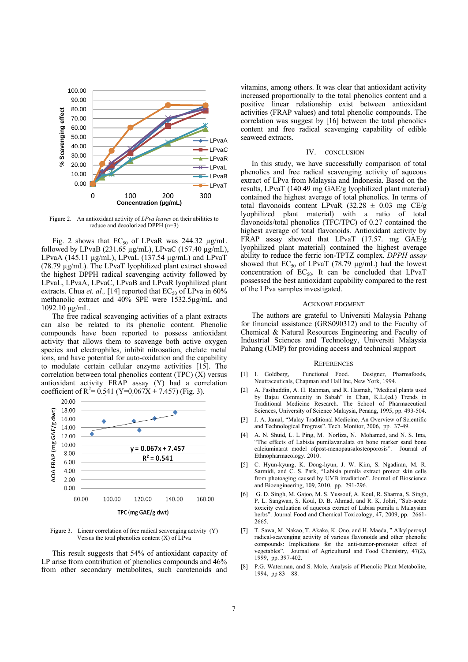

Figure 2. An antioxidant activity of *LPva leaves* on their abilities to reduce and decolorized DPPH (n=3)

Fig. 2 shows that  $EC_{50}$  of LPvaR was 244.32  $\mu$ g/mL followed by LPvaB (231.65  $\mu$ g/mL), LPvaC (157.40  $\mu$ g/mL), LPvaA (145.11  $\mu$ g/mL), LPvaL (137.54  $\mu$ g/mL) and LPvaT (78.79 µg/mL). The LPvaT lyophilized plant extract showed the highest DPPH radical scavenging activity followed by LPvaL, LPvaA, LPvaC, LPvaB and LPvaR lyophilized plant extracts. Chua *et. al.*, [14] reported that  $EC_{50}$  of LPva in 60% methanolic extract and 40% SPE were 1532.5µg/mL and 1092.10 µg/mL.

The free radical scavenging activities of a plant extracts can also be related to its phenolic content. Phenolic compounds have been reported to possess antioxidant activity that allows them to scavenge both active oxygen species and electrophiles, inhibit nitrosation, chelate metal ions, and have potential for auto-oxidation and the capability to modulate certain cellular enzyme activities [15]. The correlation between total phenolics content (TPC) (X) versus antioxidant activity FRAP assay (Y) had a correlation coefficient of R<sup>2</sup>= 0.541 (Y=0.067X + 7.457) (Fig. 3).



Figure 3. Linear correlation of free radical scavenging activity (Y) Versus the total phenolics content  $(X)$  of LPva

This result suggests that 54% of antioxidant capacity of LP arise from contribution of phenolics compounds and 46% from other secondary metabolites, such carotenoids and

vitamins, among others. It was clear that antioxidant activity increased proportionally to the total phenolics content and a positive linear relationship exist between antioxidant activities (FRAP values) and total phenolic compounds. The correlation was suggest by [16] between the total phenolics content and free radical scavenging capability of edible seaweed extracts.

## IV. CONCLUSION

In this study, we have successfully comparison of total phenolics and free radical scavenging activity of aqueous extract of LPva from Malaysia and Indonesia. Based on the results, LPvaT (140.49 mg GAE/g lyophilized plant material) contained the highest average of total phenolics. In terms of total flavonoids content LPvaR  $(32.28 \pm 0.03 \text{ mg } CE/g)$ lyophilized plant material) with a ratio of total flavonoids/total phenolics (TFC/TPC) of 0.27 contained the highest average of total flavonoids. Antioxidant activity by FRAP assay showed that LPvaT (17.57. mg GAE/g lyophilized plant material) contained the highest average ability to reduce the ferric ion-TPTZ complex. *DPPH assay* showed that  $EC_{50}$  of LPvaT (78.79  $\mu$ g/mL) had the lowest concentration of  $EC_{50}$ . It can be concluded that LPvaT possessed the best antioxidant capability compared to the rest of the LPva samples investigated.

# ACKNOWLEDGMENT

The authors are grateful to Universiti Malaysia Pahang for financial assistance (GRS090312) and to the Faculty of Chemical & Natural Resources Engineering and Faculty of Industrial Sciences and Technology, Universiti Malaysia Pahang (UMP) for providing access and technical support

## **REFERENCES**

- [1] I. Goldberg, Functional Food. Designer, Pharmafoods, Neutraceuticals, Chapman and Hall Inc, New York, 1994.
- [2] A. Fasihuddin, A. H. Rahman, and R. Hasmah, "Medical plants used by Bajau Community in Sabah" in Chan, K.L.(ed.) Trends in Traditional Medicine Research. The School of Pharmaceutical Sciences, University of Science Malaysia, Penang, 1995, pp. 493-504.
- [3] J. A. Jamal, "Malay Traditional Medicine, An Overview of Scientific and Technological Progress". Tech. Monitor, 2006, pp. 37-49.
- [4] A. N. Shuid, L. L Ping, M. Norliza, N. Mohamed, and N. S. Ima, "The effects of Labisia pumilavar.alata on bone marker sand bone calciuminarat model ofpost-menopausalosteoporosis". Journal of Ethnopharmacology. 2010.
- [5] C. Hyun-kyung, K. Dong-hyun, J. W. Kim, S. Ngadiran, M. R. Sarmidi, and C. S. Park, "Labisia pumila extract protect skin cells from photoaging caused by UVB irradiation". Journal of Bioscience and Bioengineering, 109, 2010, pp. 291-296.
- [6] G. D. Singh, M. Gajoo, M. S. Yussouf, A. Koul, R. Sharma, S. Singh, P. L. Sangwan, S. Koul, D. B. Ahmad, and R. K. Johri, "Sub-acute toxicity evaluation of aqueous extract of Labisa pumila a Malaysian herbs". Journal Food and Chemical Toxicology, 47, 2009, pp. 2661-2665.
- [7] T. Sawa, M. Nakao, T. Akake, K. Ono, and H. Maeda, " Alkylperoxyl radical-scavenging activity of various flavonoids and other phenolic compounds: Implications for the anti-tumor-promoter effect of vegetables". Journal of Agricultural and Food Chemistry, 47(2), 1999, pp. 397-402.
- [8] P.G. Waterman, and S. Mole, Analysis of Phenolic Plant Metabolite, 1994, pp  $83 - 88$ .